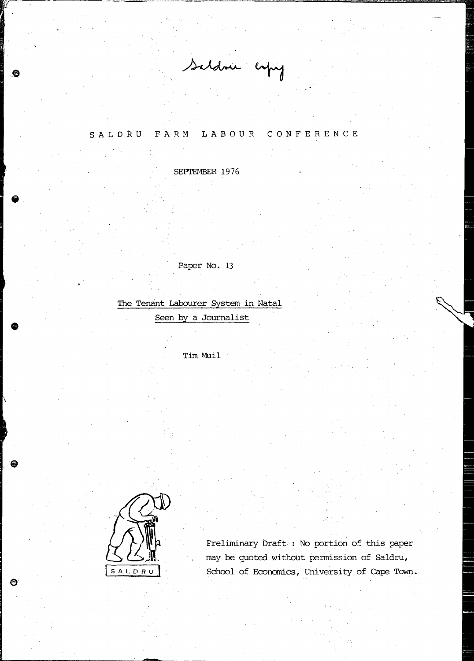Saldrie copy

## SALDRU FARM LABOUR CONFERENCE

SEPTEMBER 1976

Paper No. 13

The Tenant Labourer System in Natal Seen by a Journalist

Tim Muil



•

æ

⊜

Preliminary Draft : No portion of this paper may be quoted without pennission of Saldru, School of Economics, University of cape Town.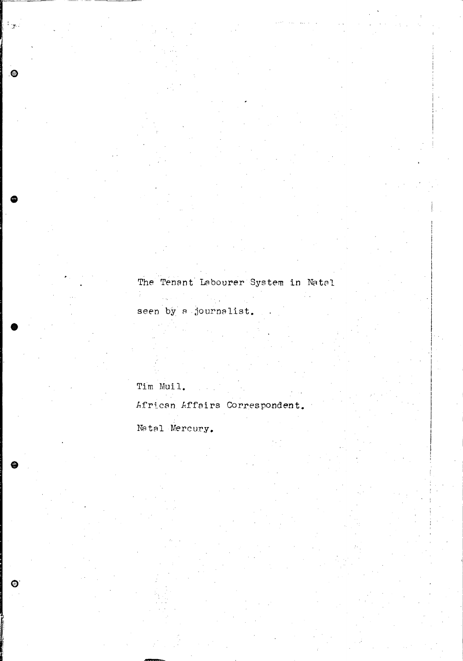## The Tenant Labourer System in Natal

seen by a journalist.

 $\frac{1}{2}$ 

## Tim Muil.

 $\hat{z}_{\rm max}$  is  $\hat{z}_{\rm max}$ 

 $\frac{1}{2}$ 

 $\boldsymbol{\Theta}$ 

African Affairs Correspondent.

## Natal Mercury.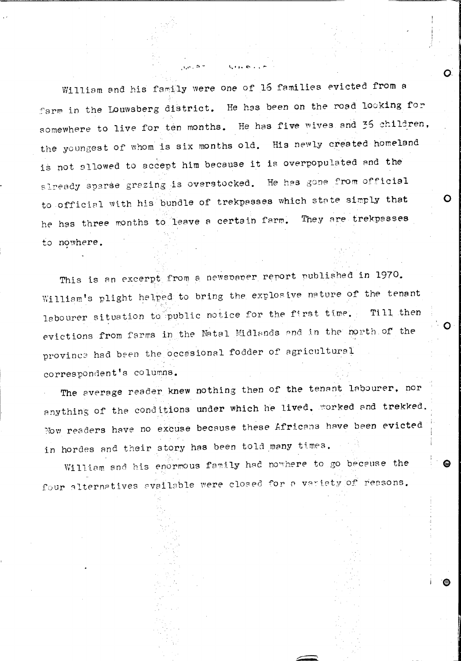William and his family were one of 16 families evicted from a farm in the Louwsberg district. He has been on the road looking for somewhere to live for ten months. He has five wives and 35 children, the youngest of whom is six months old. His newly created homeland is not sllowed to accept him because it is overpopulated and the already sparse grazing is overstocked. He has gone from official to official with his bundle of trekpasses which state simply that he has three months to leave a certain farm. They are trekpasses to nowhere.

This is an excerpt from a newspaper report published in 1970. William's plight helped to bring the explosive nature of the tenant labourer situation to public notice for the first time. Till then evictions from farms in the Natal Midlands and in the north of the province had been the occasional fodder of agricultural correspondent's columns.

The average reader knew nothing then of the tenant labourer, nor anything of the conditions under which he lived. worked and trekked. Now readers have no excuse because these Africans have been evicted in hordes and their story has been told many times.

William and his enormous family had nowhere to go because the four alternatives available were closed for a variety of reasons.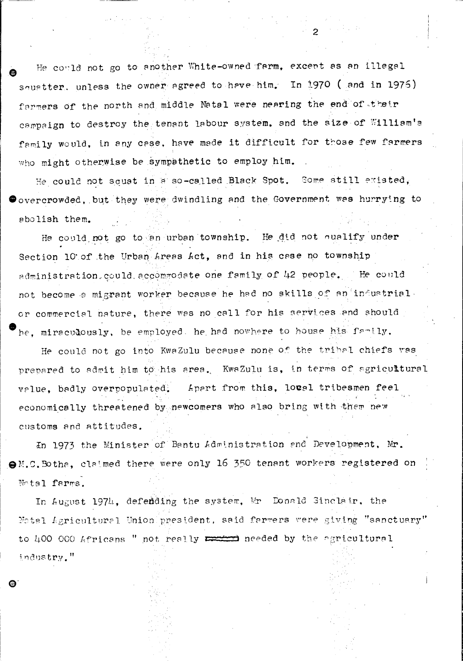He could not go to another White-owned farm, except as an illegal squatter, unless the owner agreed to have him. In 1970 ( and in 1975) farmers of the north and middle Natal were nearing the end of their campaign to destroy the tenant labour system, and the size of William's family would, in any case, have made it difficult for those few farmers who might otherwise be sympathetic to employ him.

He could not squat in a so-called Black Spot. Some still existed,  $\bullet$  overcrowded, but they were dwindling and the Government was hurrying to abolish them.

He could not go to an urban township. He did not qualify under Section 10 of the Urban Areas Act, and in his case no township administration could accommodate one family of 42 people. He could not become a migrant worker because he had no skills of an industrial. or commercial nature, there was no call for his services and should he, miraculously, be employed, he had nowhere to house his family.

He could not go into KwaZulu because none of the tribal chiefs was prepared to admit him to his area. KwaZulu is, in terms of agricultural Apart from this, local tribesmen feel value, badly overpopulated. economically threatened by newcomers who also bring with them new customs and attitudes.

In 1973 the Minister of Bantu Administration and Development, Mr. OM.C. Botha, claimed there were only 16 350 tenant workers registered on Motal farms.

In August 1974, defending the system, Mr Donald Sinclair, the Notal Agricultural Union president, said farmers were giving "sanctuary" to 400 000 Africans " not really we needed by the agricultural industry."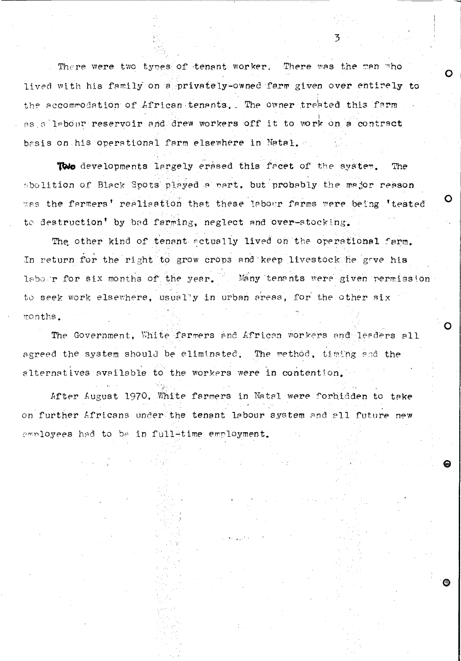There were two types of tenant worker. There was the man who lived with his family on a privately-owned farm given over entirely to the accommodation of African tenants. The owner treated this farm as a labour reservoir and drew workers off it to work on a contract basis on his operational farm elsewhere in Natal.

To developments largely erased this facet of the system. **The** abolition of Black Spots played a part, but probably the major reason was the farmers' realisation that these labour farms were being 'tested to destruction' by bad farming, neglect and over-stocking.

The other kind of tenant actually lived on the operational farm. In return for the right to grow crops and keep livestock he gave his labour for six months of the year. Many tenants were given permission to seek work elsewhere, usually in urban areas, for the other six months.

The Government, White farmers and African workers and leaders all agreed the system should be eliminated. The method, timing and the alternatives available to the workers were in contention.

After Lugust 1970, White farmers in Natal were forbidden to take on further Africans under the tenant labour system and all future new employees had to be in fullatime employment.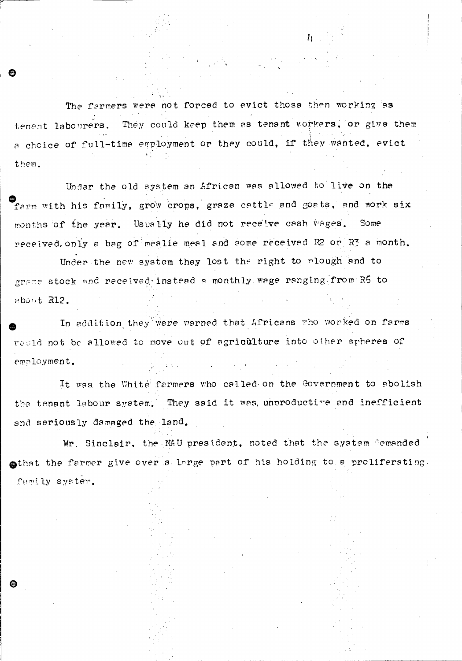The farmers were not forced to evict those then working as They could keep them as tenant workers, or give them tenant labourers. a choice of full-time employment or they could, if they wanted, evict them.

 $\mathbf{h}$ 

Under the old system an African was allowed to live on the farm with his family, grow crops, graze cattle and goats, and work six months of the year. Usually he did not receive cash wages. Some received only a bag of mealie meal and some received R2 or R3 a month.

Under the new system they lost the right to plough and to graze stock and received instead a monthly wage ranging from R5 to about R12.

In addition they were warned that Africans who worked on farms roold not be allowed to move out of agriculture into other spheres of employment.

It was the White farmers who called on the Covernment to abolish the tenant labour system. They said it was unproductive and inefficient and seriously damaged the land.

Mr. Sinclair, the MAU president, noted that the system cemanded othat the farmer give over a large part of his holding to a proliferating. family system.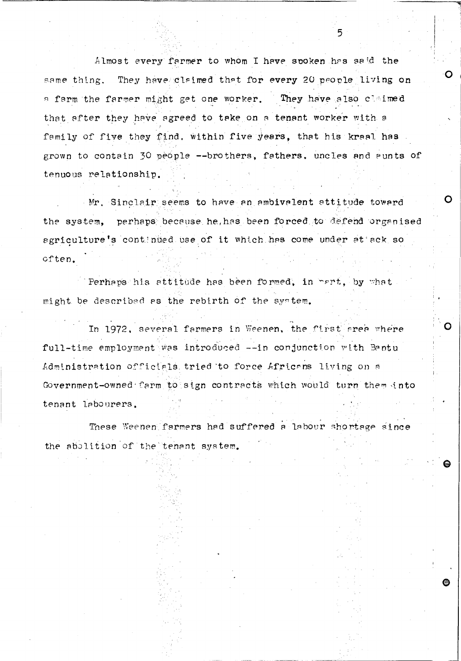Almost every farmer to whom I have spoken has said the same thing. They have claimed that for every 20 people living on They have also claimed a farm the farmer might get one worker. that after they have agreed to take on a tenant worker with a family of five they find, within five years, that his kraal has grown to contain 30 people --brothers, fathers, uncles and aunts of tenuous relationship.

5

∩

Mr. Sinclair seems to have an ambivalent attitude toward the system, perhaps because he has been forced to defend organised agriculture's continued use of it which has come under at ack so often.

Perhaps his attitude has been formed, in part, by what might be described as the rebirth of the system.

In 1972, several farmers in Weenen, the first area where full-time employment was introduced --in conjunction with Bantu Administration officials tried to force Africans living on a Government-owned farm to sign contracts which would turn them into tenant labourers.

These Weenen farmers had suffered a labour shortage since the abolition of the tenant system.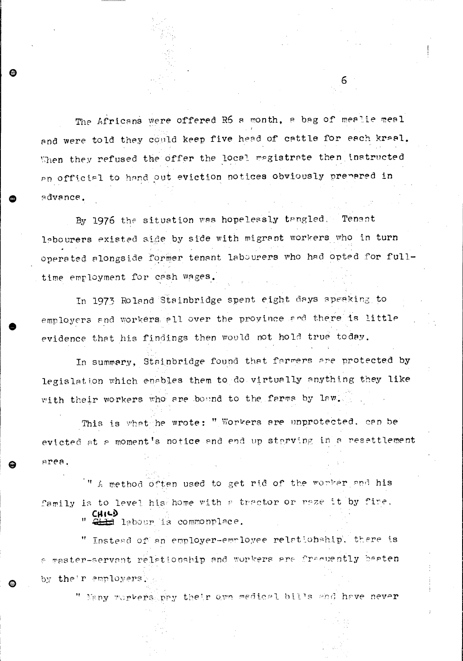The Africans were offered R6 a month, a bag of mealie meal and were told they could keep five head of cattle for each kraal. When they refused the offer the local magistrate then instructed an official to hand out eviction notices obviously prepared in advance.

6

By 1976 the situation was hopelessly tangled. Tenant lebourers existed side by side with migrant workers who in turn operated alongside former tenant labourers who had opted for fulltime employment for cash wages.

In 1973 Roland Stainbridge spent eight days speaking to employers and workers all over the province and there is little evidence that his findings then would not hold true today.

In summary, Stainbridge found that farmers are protected by legislation which enables them to do virtually anything they like with their workers who are bound to the farms by law.

This is what he wrote: " Workers are unprotected, can be evicted at a moment's notice and end up starving in a resettlement area.

" A method often used to get rid of the worker and his family is to level his home with a tractor or reze it by fire.

Gill labour is commonplace.

" Instead of an employer-employee relationship, there is a master-servant relationship and workers are fracuently beaten by the'r employers.

" Nany workers pay their own medical bills and have never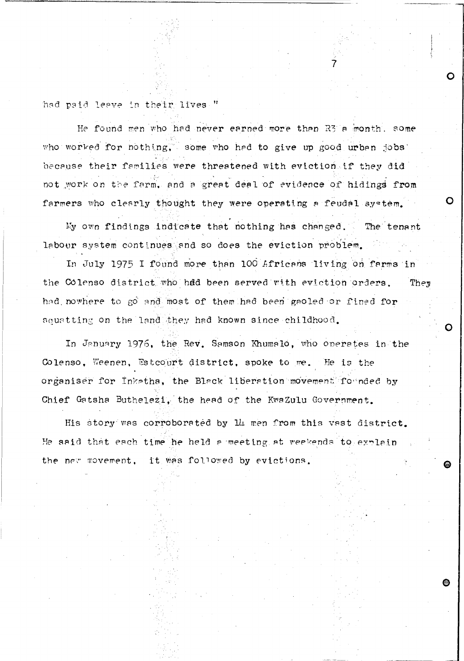had paid leave in their lives."

He found men who had never earned more than R3 a month, some who worked for nothing, some who had to give up good urban jobs because their families were threatened with eviction if they did not work on the farm, and a great deal of evidence of hidings from farmers who clearly thought they were operating a feudal system.

My own findings indicate that nothing has changed. The tenant labour system continues and so does the eviction problem.

In July 1975 I found more than 100 Africans living on farms in the Colenso district who had been served with eviction orders. They had nowhere to go and most of them had been gaoled or fined for squatting on the land they had known since childhood.

In January 1976, the Rev. Samson Khumalo, who operates in the Colenso, Weenen, Estcourt district, spoke to me. He is the organiser for Inkatha, the Black liberation movement formded by Chief Gatsha Buthelezi, the head of the KwaZulu Government.

His story was corroborated by 14 men from this vast district. He said that each time he held a meeting at weekends to explain the new movement, it was followed by evictions.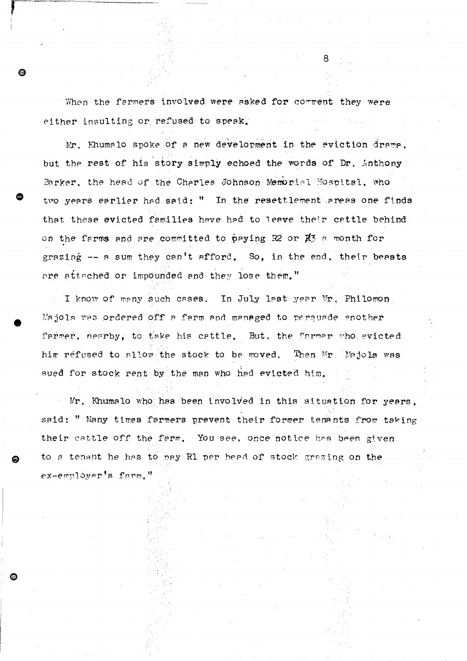When the farmers involved were asked for comment they were either insulting or refused to speak.

Я

Mr. Khumalo spoke of a new development in the eviction drama. but the rest of his story simply echoed the words of Dr. Anthony Barker, the head of the Charles Johnson Memorial Hospital, who two years earlier had said: " In the resettlement areas one finds that these evicted families have had to leave their cattle behind on the farms and are committed to paying R2 or K3 a month for grazing -- a sum they can't afford. So, in the end, their beasts are attached or impounded and they lose them."

I know of many such cases. In July last year Mr. Philomon  $\mathcal{F}_{\mathcal{L}}$  . Majola was ordered off a farm and managed to persuade another farmer, nearby, to take his cattle. But, the farmer who evicted him refused to allow the stock to be moved. Then Mr. Majola was sued for stock rent by the man who had evicted him.

Mr. Khumalo who has been involved in this situation for years. said: " Many times farmers prevent their former tenants from taking their cattle off the farm. You see, once notice has been given to a tenant he has to pay R1 per head of stock grazing on the ex-employer's farm."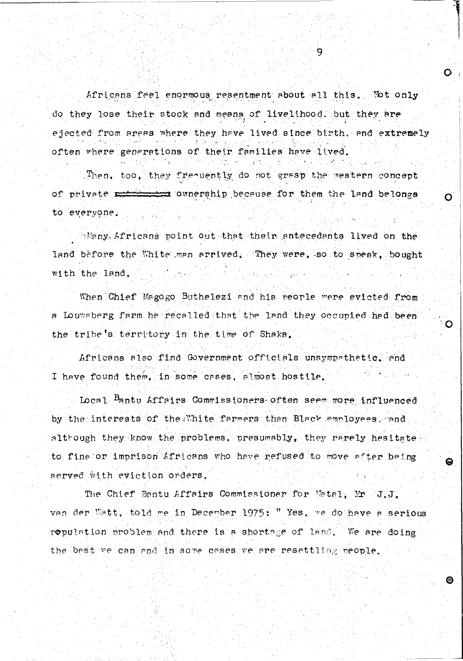Africans feel enormous resentment about all this. Not only do they lose their stock and means of livelihood. but they are ejected from areas where they have lived since birth, and extremely often where generations of their families have lived.

Then, too, they frequently do not grasp the western concept of private references ownership because for them the land belongs to everyone.

Many Africans point out that their antecedants lived on the land before the White man arrived. They were, so to speak, bought with the land.

When Chief Magogo Buthelezi and his reorle were evicted from a Louwsberg farm he recalled that the land they occupied had been the tribe's territory in the time of Shaka.

Africans also find Government officials unsympathetic. and I have found them, in some cases, almost hostile.

Local Bantu Affairs Commissioners often seem more influenced by the interests of the White farmers than Black employees, and altrough they know the problems, presumably, they rarely hesitate to fine or imprison Africans who have refused to move after being served with eviction orders.

The Chief Bantu Affairs Commissioner for Matal, Mr J.J. van der Watt, told me in December 1975: "Yes, me do have a serious ropulation problem and there is a shortage of land. We are doing the best we can and in some cases we are resettling people.

 $\mathbf{Q}$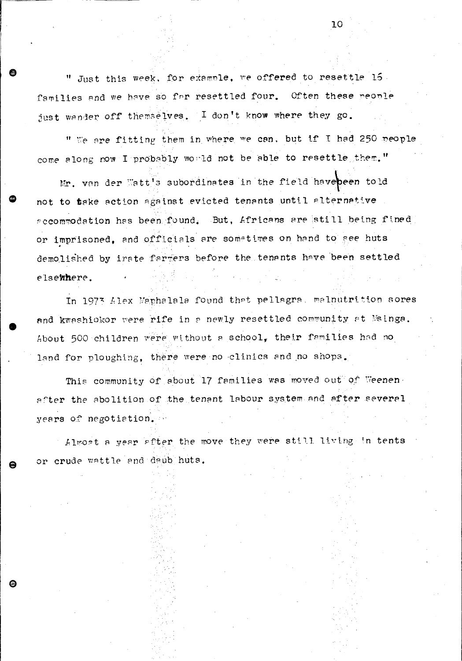" Just this week, for example, we offered to resettle 15. families and we have so far resettled four. Often these people just wander off themselves. I don't know where they go.

" We are fitting them in where we can, but if I had 250 people come along now I probably would not be able to resettle them."

Mr. van der Watt's subordinates in the field havebeen told not to take action against evicted tenants until alternative accommodation has been found. But, Africans are still being fined or imprisoned, and officials are sometimes on hand to see huts demolished by irate farmers before the tenants have been settled elsemhere.

In 1973 Alex Maphalala found that pellagra, malnutrition sores and kwashiokor were rife in a newly resettled community at Msinga. About 500 children were without a school, their families had no land for ploughing, there were no clinics and no shops.

This community of about 17 families was moved out of Weenen. after the abolition of the tenant labour system and after several years of negotiation.

Almost a year after the move they were still living in tents or crude wattle and daub huts.

G

10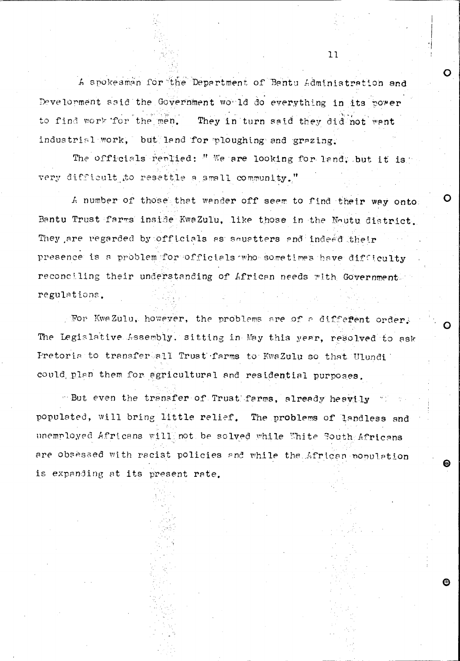A spokesman for the Department of Bantu Administration and Develorment said the Government would do everything in its power to find work for the men. They in turn said they did not want industrial work, but land for ploughing and grazing.

 $11$ 

The officials replied: " We are looking for land, but it is very difficult to resettle a small community."

A number of those that wander off seem to find their way onto: Bantu Trust farms inside KwaZulu. like those in the Noutu district. They are regarded by officials as souatters and indeed their presence is a problem for officials who sometimes have difficulty reconciling their understanding of African needs with Government. regulations.

For KwaZulu, however, the problems are of a different order. The Legislative Assembly. sitting in May this year, resolved to ask Pretoria to transfertall Trust farms to KwaZulu so that Ulundi could plan them for agricultural and residential purposes.

- But even the transfer of Trust farms, already heavily populated, will bring little relief. The problems of landless and unemployed Africans will not be solved while White South Africans are obsessed with racist policies and while the African population is expanding at its present rate.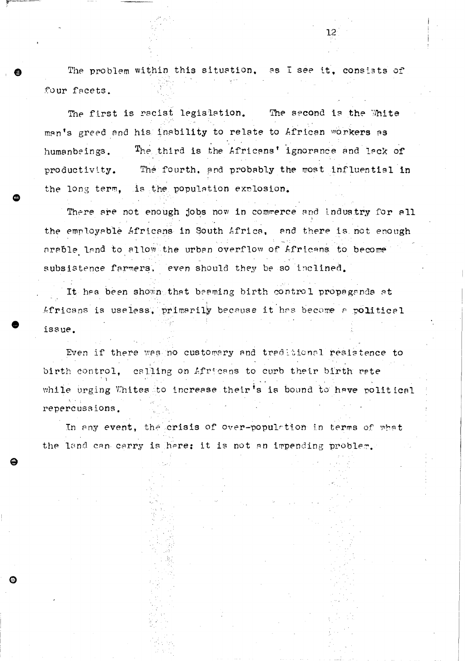The problem within this situation, as I see it, consists of four facets.

12

The first is racist legislation. The second is the White man's greed and his inability to relate to African workers as The third is the Africans' ignorance and lack of humanbeings. The fourth, and probably the most influential in productivity. the long term, is the population explosion.

There are not enough jobs now in commerce and industry for all the employable Africans in South Africa, and there is not enough arable land to allow the urban overflow of Africans to become subsistence farmers, even should they be so inclined.

It has been shown that beaming birth control propaganda at Africans is useless, primarily because it has become a political issue.

Even if there was no customary and traditional resistence to birth control, calling on Africans to curb their birth rate while urging Whites to increase their's is bound to have political repercussions.

In any event, the crisis of over-population in terms of what the land can carry is here; it is not an impending problem.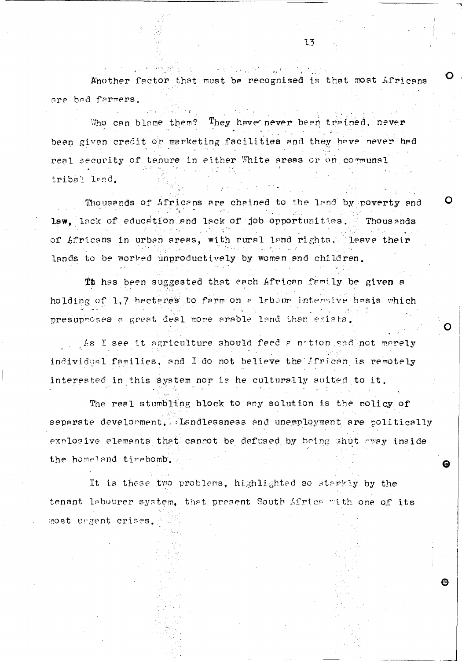Another factor that must be recognised is that most Africans are bad farmers.

 $\mathcal{L}^{\mathcal{L}}(\mathcal{L}^{\mathcal{L}}(\mathcal{L}^{\mathcal{L}}(\mathcal{L}^{\mathcal{L}}(\mathcal{L}^{\mathcal{L}}(\mathcal{L}^{\mathcal{L}}(\mathcal{L}^{\mathcal{L}}(\mathcal{L}^{\mathcal{L}}(\mathcal{L}^{\mathcal{L}}(\mathcal{L}^{\mathcal{L}}(\mathcal{L}^{\mathcal{L}}(\mathcal{L}^{\mathcal{L}}(\mathcal{L}^{\mathcal{L}}(\mathcal{L}^{\mathcal{L}}(\mathcal{L}^{\mathcal{L}}(\mathcal{L}^{\mathcal{L}}(\mathcal{L}^{\mathcal{L$ 

They have never been trained, never Who can blame them? been given credit or marketing facilities and they have never had real security of tenure in either White areas or on communal tribal land.

Thousands of Africans are chained to the land by poverty and law, lack of education and lack of job opportunities. Thousands of Africans in urban areas, with rural land rights. leave their lands to be worked unproductively by women and children.

Th has been suggested that each African family be given a holding of 1,7 hectares to farm on a labour intensive basis which presuproses a great deal more arable land than exists.

As I see it agriculture should feed a notion and not merely individual families, and I do not believe the African is remotely interested in this system nor is he culturally suited to it.

The real stumbling block to any solution is the policy of separate develorment. Landlessness and unemployment are politically explosive elements that cannot be defused by being shut oway inside the homeland timebomb.

It is these two problems, highlighted so starkly by the tenant labourer system, that present South Africa with one of its most ungent crises.

曲

13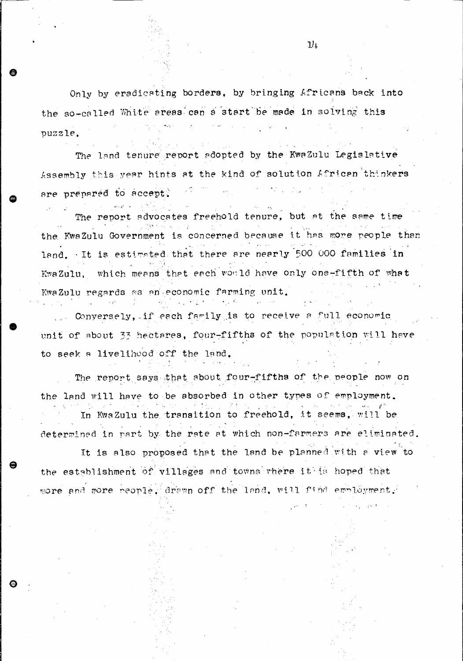Only by eradicating borders, by bringing Africans back into the so-called White areas can a start be made in solving this puzzle.

The land tenure report adopted by the KwaZulu Legislative Assembly this year hints at the kind of solution African thinkers  $\sim 10^{-10}$ are prepared to accept.

The report advocates freehold tenure, but at the same time the KwaZulu Government is concerned because it has more people than land. It is estimated that there are nearly 500 000 families in KwaZulu, which means that each would have only one-fifth of what KwaZulu regards as an economic farming unit.

Conversely, if each family is to receive a full economic unit of about 33 hectares, four-fifths of the population will have to seek a livelihood off the land.

The report says that about four-fifths of the people now on the land will have to be absorbed in other types of employment. In KwaZulu the transition to freehold, it seems, will be determined in part by the rate at which non-farmers are eliminated.

It is also proposed that the land be planned with a view to the establishment of villages and towns where it is hoped that more and more reople, drawn off the land, will find employment.

 $11<sub>1</sub>$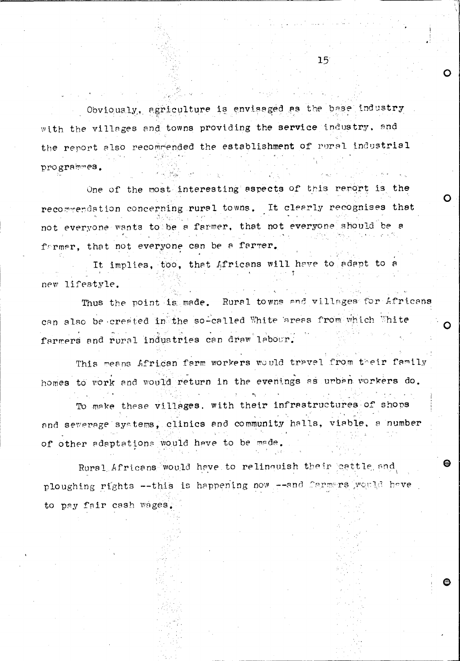Obviously, agriculture is envisaged as the base industry with the villages and towns providing the service industry, and the report also recommended the establishment of rural industrial programmes.

One of the most interesting aspects of this report is the recommendation concerning rural towns. It clearly recognises that not everyone wants to be a farmer, that not everyone should be a farmer, that not everyone can be a farmer.

It implies, too, that Africans will have to adapt to a new lifestyle.

Thus the point is made. Rural towns and villages for Africans can also be created in the so-called White areas from which White farmers and rural industries can draw labour.

This means African farm workers would travel from their family homes to work and would return in the evenings as urban workers do.

To make these villages, with their infrastructures of shops and severage systems, clinics and community halls, viable, a number of other adaptations would have to be made.

Rural Africans would have to relinquish their cattle and ploughing rights --this is happening now --and Carmers would have to pay fair cash wages.

 $15<sup>°</sup>$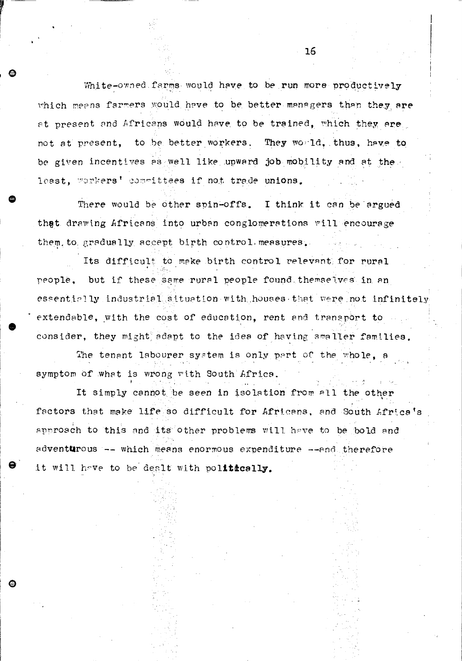White-owned farms would have to be run more productively which means farmers would have to be better managers than they are at present and Africans would have to be trained, which they are not at present, to be better workers. They would, thus, have to be given incentives as well like upward job mobility and at the least, workers' committees if not trade unions.

There would be other spin-offs. I think it can be argued that drawing Africans into urban conglomerations will encourage them, to gradually accept birth control measures.

Its difficult to make birth control relevant for rural people, but if these same rural people found themselves in an essentially industrial situation with houses that were not infinitely extendable, with the cost of education, rent and transport to consider, they might adapt to the idea of having smaller families.

The tenant labourer system is only part of the whole, a symptom of what is wrong with South Africa.

ଈ

It simply cannot be seen in isolation from all the other factors that make life so difficult for Africans, and South Africa's approach to this and its other problems will have to be bold and adventurous -- which means enormous expenditure --and therefore it will have to be dealt with politically.

16